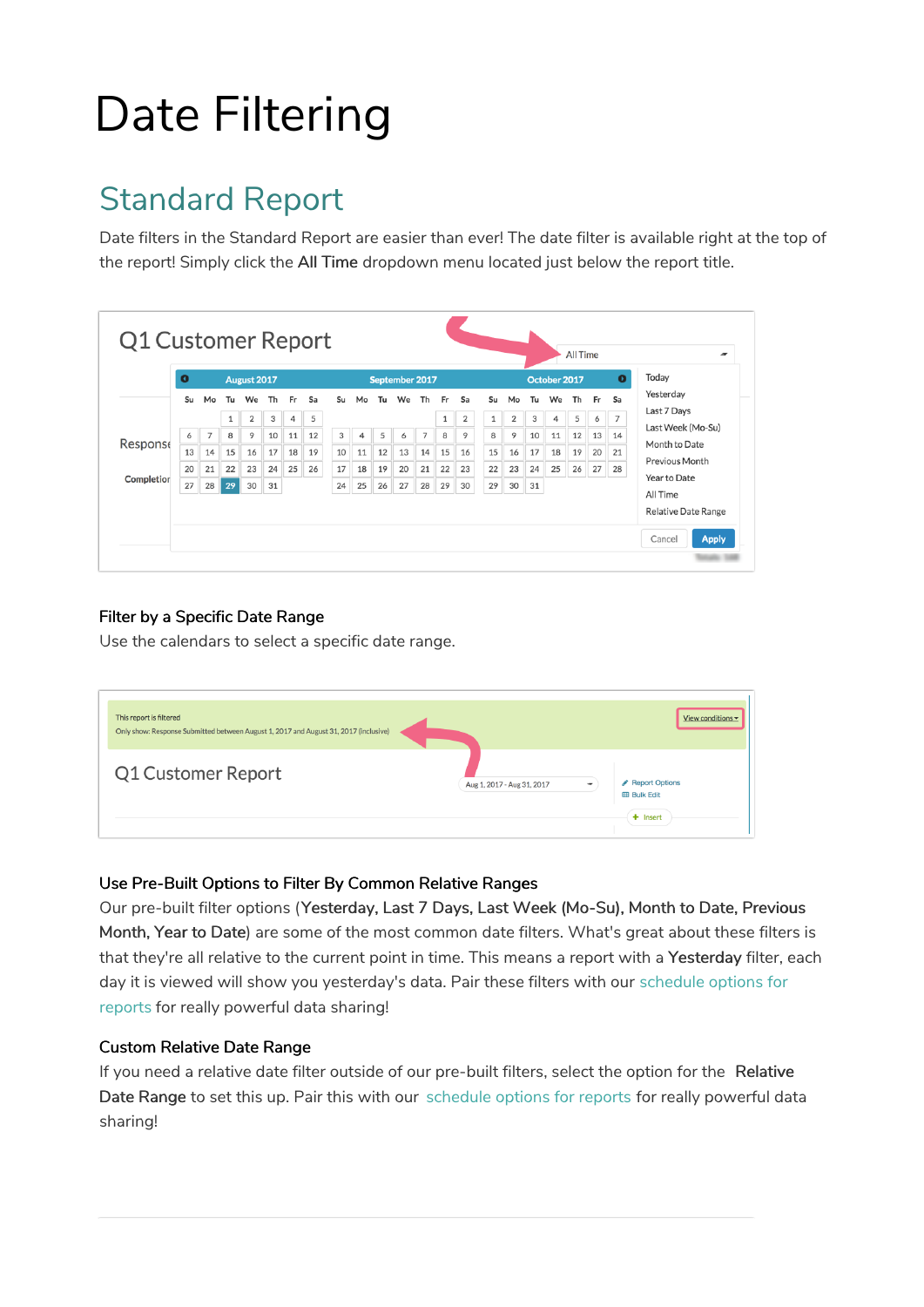# Date Filtering

## Standard Report

Date filters in the Standard Report are easier than ever! The date filter is available right at the top of the report! Simply click the All Time dropdown menu located just below the report title.

| Yesterday<br>Th<br>Su<br>Tu<br>Sa<br>We<br>Th<br>Su<br>We<br>Fr<br>Sa<br>We<br>Th<br>Fr<br>Su<br>Mo<br>Tu<br>Fr<br>Sa<br>Mo<br>Tu<br>Mo<br>Last 7 Days<br>5<br>$\overline{7}$<br>2<br>5<br>$\overline{2}$<br>2<br>3<br>3<br>1<br>1<br>1<br>4<br>4<br>6<br>Last Week (Mo-Su)<br>9<br>8<br>9<br>$\overline{7}$<br>8<br>3<br>5<br>$\overline{7}$<br>8<br>11<br>12<br>6<br>10<br>12<br>9<br>10<br>11<br>13<br>4<br>14<br>6<br>Response<br>Month to Date<br>13<br>12<br>15<br>15<br>17<br>19<br>10<br>14<br>15<br>16<br>16<br>17<br>18<br>19<br>20<br>16<br>18<br>11<br>13<br>14<br>21<br>Previous Month |            | $\bullet$ |    |    | August 2017 |    |    |    |    | September 2017 |    |    |    |    |    |    |    |    | October 2017 | Today |    |    |              |
|-----------------------------------------------------------------------------------------------------------------------------------------------------------------------------------------------------------------------------------------------------------------------------------------------------------------------------------------------------------------------------------------------------------------------------------------------------------------------------------------------------------------------------------------------------------------------------------------------------|------------|-----------|----|----|-------------|----|----|----|----|----------------|----|----|----|----|----|----|----|----|--------------|-------|----|----|--------------|
|                                                                                                                                                                                                                                                                                                                                                                                                                                                                                                                                                                                                     |            |           |    |    |             |    |    |    |    |                |    |    |    |    |    |    |    |    |              |       |    |    |              |
|                                                                                                                                                                                                                                                                                                                                                                                                                                                                                                                                                                                                     |            |           |    |    |             |    |    |    |    |                |    |    |    |    |    |    |    |    |              |       |    |    |              |
|                                                                                                                                                                                                                                                                                                                                                                                                                                                                                                                                                                                                     |            |           |    |    |             |    |    |    |    |                |    |    |    |    |    |    |    |    |              |       |    |    |              |
|                                                                                                                                                                                                                                                                                                                                                                                                                                                                                                                                                                                                     |            |           |    |    |             |    |    |    |    |                |    |    |    |    |    |    |    |    |              |       |    |    |              |
|                                                                                                                                                                                                                                                                                                                                                                                                                                                                                                                                                                                                     | Completior | 20        | 21 | 22 | 23          | 24 | 25 | 26 | 17 | 18             | 19 | 20 | 21 | 22 | 23 | 22 | 23 | 24 | 25           | 26    | 27 | 28 | Year to Date |
| 27<br>29<br>30<br>29<br>30<br>29<br>24<br>25<br>26<br>27<br>28<br>30<br>31<br>31<br>28<br>All Time                                                                                                                                                                                                                                                                                                                                                                                                                                                                                                  |            |           |    |    |             |    |    |    |    |                |    |    |    |    |    |    |    |    |              |       |    |    |              |

### Filter by a Specific Date Range

Use the calendars to select a specific date range.

| This report is filtered<br>Only show: Response Submitted between August 1, 2017 and August 31, 2017 (inclusive) |                                                        | View conditions $\blacktriangleright$               |
|-----------------------------------------------------------------------------------------------------------------|--------------------------------------------------------|-----------------------------------------------------|
| Q1 Customer Report                                                                                              | Aug 1, 2017 - Aug 31, 2017<br>$\overline{\phantom{a}}$ | Report Options<br><b>EB</b> Bulk Edit<br>$+$ Insert |

#### Use Pre-Built Options to Filter By Common Relative Ranges

Our pre-built filter options (Yesterday, Last 7 Days, Last Week (Mo-Su), Month to Date, Previous Month, Year to Date) are some of the most common date filters. What's great about these filters is that they're all relative to the current point in time. This means a report with a Yesterday filter, each day it is viewed will show you yesterday's data. Pair these filters with our schedule options for reports for really powerful data sharing!

#### Custom Relative Date Range

If you need a relative date filter outside of our pre-built filters, select the option for the Relative Date Range to set this up. Pair this with our schedule options for reports for really powerful data sharing!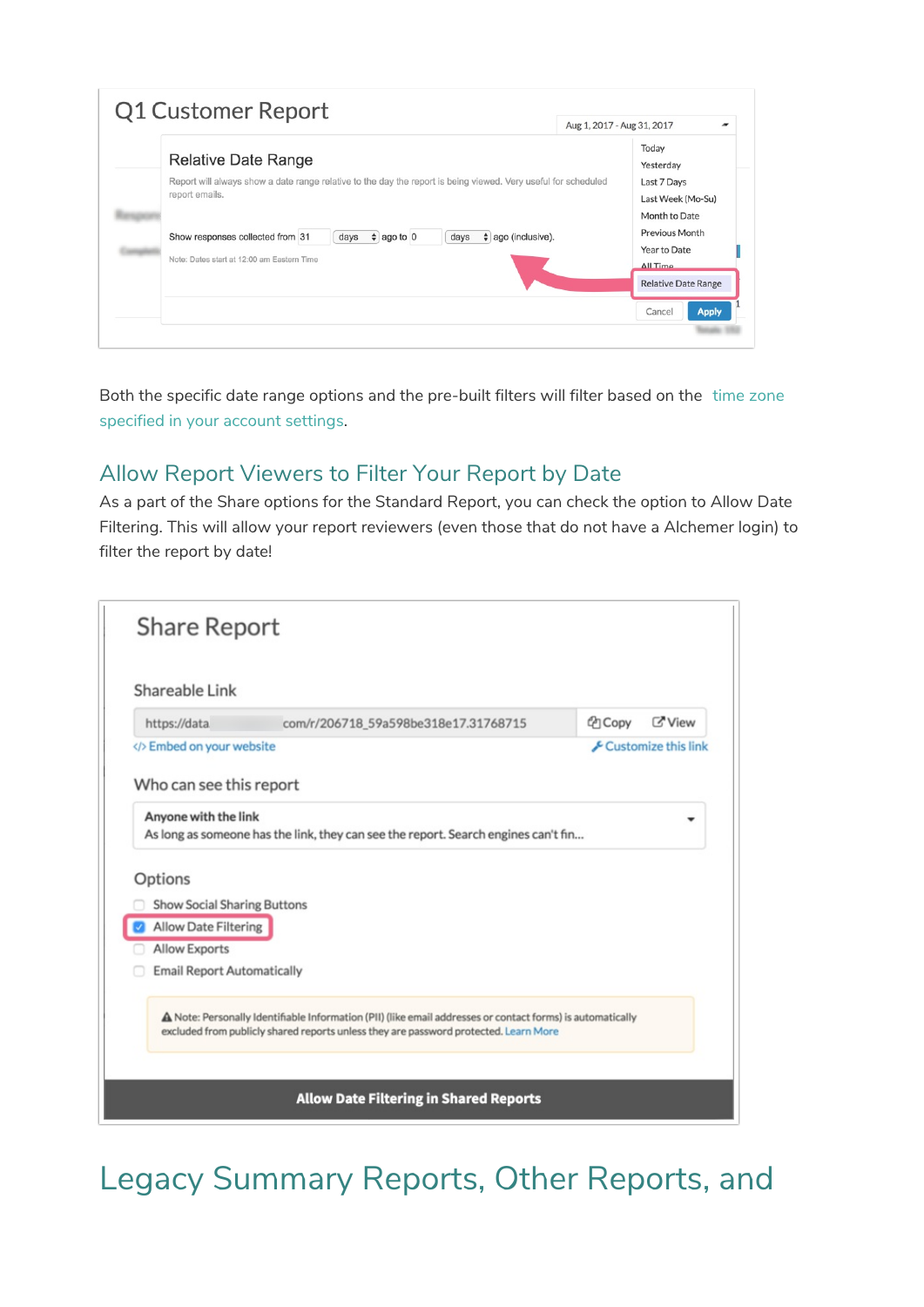| Q1 Customer Report                                                                                                               | Aug 1, 2017 - Aug 31, 2017                        |
|----------------------------------------------------------------------------------------------------------------------------------|---------------------------------------------------|
| <b>Relative Date Range</b>                                                                                                       | Today<br>Yesterday                                |
| Report will always show a date range relative to the day the report is being viewed. Very useful for scheduled<br>report emails. | Last 7 Days<br>Last Week (Mo-Su)<br>Month to Date |
| $\div$ ago to 0<br>$\div$ ago (inclusive).<br>Show responses collected from 31<br>days<br>days                                   | Previous Month<br>Year to Date                    |
| Note: Dates start at 12:00 am Eastern Time                                                                                       | ΔII Time<br><b>Relative Date Range</b>            |
|                                                                                                                                  | <b>Apply</b><br>Cancel                            |

Both the specific date range options and the pre-built filters will filter based on the time zone specified in your account settings.

### Allow Report Viewers to Filter Your Report by Date

As a part of the Share options for the Standard Report, you can check the option to Allow Date Filtering. This will allow your report reviewers (even those that do not have a Alchemer login) to filter the report by date!

| https://data                                 | com/r/206718 59a598be318e17.31768715                                               | <b>Z'View</b><br><sup>(2</sup> ] Copy |
|----------------------------------------------|------------------------------------------------------------------------------------|---------------------------------------|
| Embed on your website                        |                                                                                    | Customize this link                   |
| Who can see this report                      |                                                                                    |                                       |
| Anyone with the link                         | As long as someone has the link, they can see the report. Search engines can't fin |                                       |
| Options                                      |                                                                                    |                                       |
| <b>Show Social Sharing Buttons</b>           |                                                                                    |                                       |
|                                              |                                                                                    |                                       |
| Allow Date Filtering<br><b>Allow Exports</b> |                                                                                    |                                       |
| <b>Email Report Automatically</b>            |                                                                                    |                                       |

# Legacy Summary Reports, Other Reports, and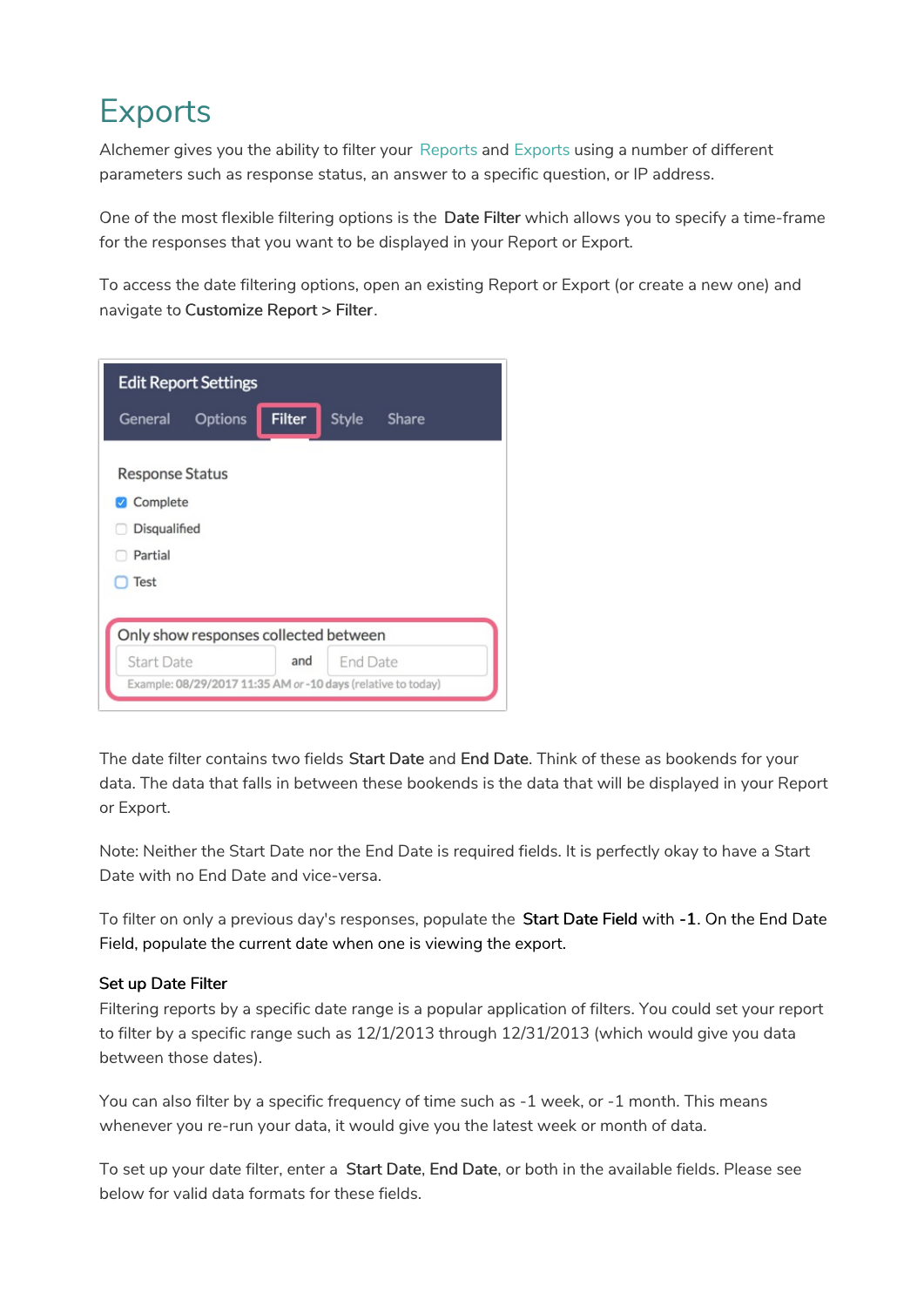## Exports

Alchemer gives you the ability to filter your Reports and Exports using a number of different parameters such as response status, an answer to a specific question, or IP address.

One of the most flexible filtering options is the Date Filter which allows you to specify a time-frame for the responses that you want to be displayed in your Report or Export.

To access the date filtering options, open an existing Report or Export (or create a new one) and navigate to Customize Report > Filter.

|                                                               | <b>Edit Report Settings</b>                                  |               |          |       |  |
|---------------------------------------------------------------|--------------------------------------------------------------|---------------|----------|-------|--|
| General                                                       | <b>Options</b>                                               | <b>Filter</b> | Style    | Share |  |
| <b>Response Status</b><br>Complete<br>Disqualified<br>Partial |                                                              |               |          |       |  |
| <b>Test</b>                                                   |                                                              |               |          |       |  |
|                                                               | Only show responses collected between                        |               |          |       |  |
| Start Date                                                    |                                                              | and           | End Date |       |  |
|                                                               | Example: 08/29/2017 11:35 AM or -10 days (relative to today) |               |          |       |  |

The date filter contains two fields Start Date and End Date. Think of these as bookends for your data. The data that falls in between these bookends is the data that will be displayed in your Report or Export.

Note: Neither the Start Date nor the End Date is required fields. It is perfectly okay to have a Start Date with no End Date and vice-versa.

To filter on only a previous day's responses, populate the Start Date Field with -1. On the End Date Field, populate the current date when one is viewing the export.

### Set up Date Filter

Filtering reports by a specific date range is a popular application of filters. You could set your report to filter by a specific range such as 12/1/2013 through 12/31/2013 (which would give you data between those dates).

You can also filter by a specific frequency of time such as -1 week, or -1 month. This means whenever you re-run your data, it would give you the latest week or month of data.

To set up your date filter, enter a Start Date, End Date, or both in the available fields. Please see below for valid data formats for these fields.